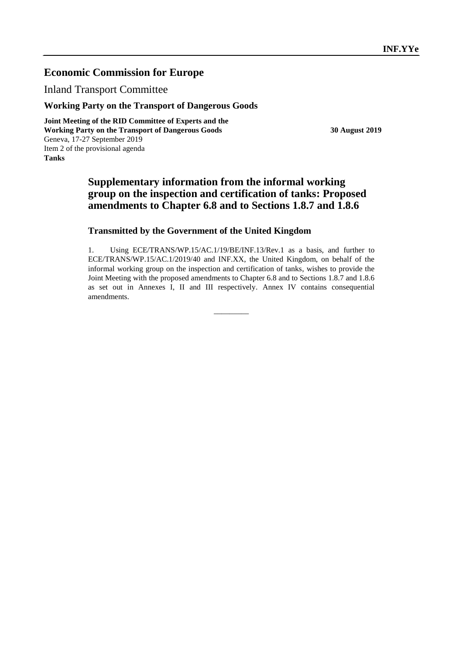# **Economic Commission for Europe**

Inland Transport Committee

## **Working Party on the Transport of Dangerous Goods**

**Joint Meeting of the RID Committee of Experts and the Working Party on the Transport of Dangerous Goods 30 August 2019** Geneva, 17-27 September 2019 Item 2 of the provisional agenda **Tanks**

# **Supplementary information from the informal working group on the inspection and certification of tanks: Proposed amendments to Chapter 6.8 and to Sections 1.8.7 and 1.8.6**

## **Transmitted by the Government of the United Kingdom**

1. Using ECE/TRANS/WP.15/AC.1/19/BE/INF.13/Rev.1 as a basis, and further to ECE/TRANS/WP.15/AC.1/2019/40 and INF.XX, the United Kingdom, on behalf of the informal working group on the inspection and certification of tanks, wishes to provide the Joint Meeting with the proposed amendments to Chapter 6.8 and to Sections 1.8.7 and 1.8.6 as set out in Annexes I, II and III respectively. Annex IV contains consequential amendments.

 $\overline{\phantom{a}}$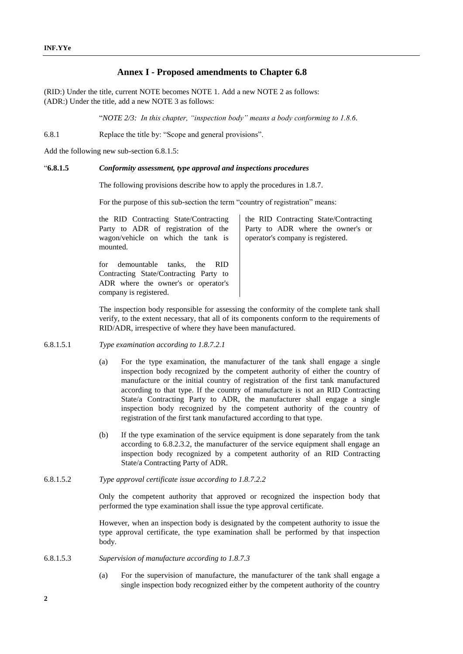## **Annex I - Proposed amendments to Chapter 6.8**

(RID:) Under the title, current NOTE becomes NOTE 1. Add a new NOTE 2 as follows: (ADR:) Under the title, add a new NOTE 3 as follows:

"*NOTE 2/3: In this chapter, "inspection body" means a body conforming to 1.8.6.*

6.8.1 Replace the title by: "Scope and general provisions".

Add the following new sub-section 6.8.1.5:

#### "**6.8.1.5** *Conformity assessment, type approval and inspections procedures*

The following provisions describe how to apply the procedures in 1.8.7.

For the purpose of this sub-section the term "country of registration" means:

the RID Contracting State/Contracting Party to ADR of registration of the wagon/vehicle on which the tank is mounted.

for demountable tanks, the RID Contracting State/Contracting Party to ADR where the owner's or operator's company is registered.

the RID Contracting State/Contracting Party to ADR where the owner's or operator's company is registered.

The inspection body responsible for assessing the conformity of the complete tank shall verify, to the extent necessary, that all of its components conform to the requirements of RID/ADR, irrespective of where they have been manufactured.

- 6.8.1.5.1 *Type examination according to 1.8.7.2.1*
	- (a) For the type examination, the manufacturer of the tank shall engage a single inspection body recognized by the competent authority of either the country of manufacture or the initial country of registration of the first tank manufactured according to that type. If the country of manufacture is not an RID Contracting State/a Contracting Party to ADR, the manufacturer shall engage a single inspection body recognized by the competent authority of the country of registration of the first tank manufactured according to that type.
	- (b) If the type examination of the service equipment is done separately from the tank according to 6.8.2.3.2, the manufacturer of the service equipment shall engage an inspection body recognized by a competent authority of an RID Contracting State/a Contracting Party of ADR.
- 6.8.1.5.2 *Type approval certificate issue according to 1.8.7.2.2*

Only the competent authority that approved or recognized the inspection body that performed the type examination shall issue the type approval certificate.

However, when an inspection body is designated by the competent authority to issue the type approval certificate, the type examination shall be performed by that inspection body.

- 6.8.1.5.3 *Supervision of manufacture according to 1.8.7.3*
	- (a) For the supervision of manufacture, the manufacturer of the tank shall engage a single inspection body recognized either by the competent authority of the country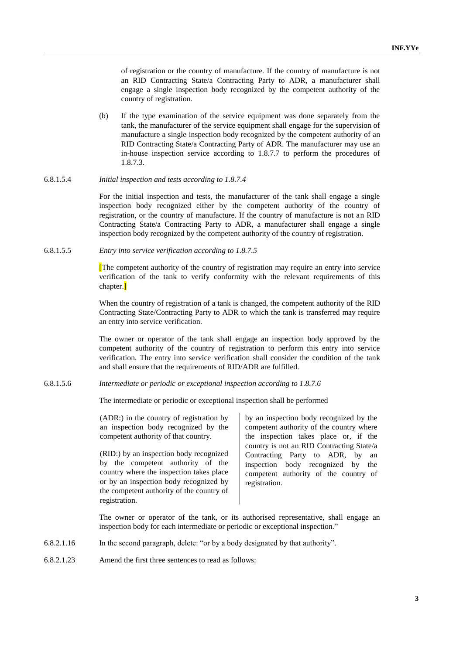of registration or the country of manufacture. If the country of manufacture is not an RID Contracting State/a Contracting Party to ADR, a manufacturer shall engage a single inspection body recognized by the competent authority of the country of registration.

(b) If the type examination of the service equipment was done separately from the tank, the manufacturer of the service equipment shall engage for the supervision of manufacture a single inspection body recognized by the competent authority of an RID Contracting State/a Contracting Party of ADR. The manufacturer may use an in-house inspection service according to 1.8.7.7 to perform the procedures of 1.8.7.3.

#### 6.8.1.5.4 *Initial inspection and tests according to 1.8.7.4*

For the initial inspection and tests, the manufacturer of the tank shall engage a single inspection body recognized either by the competent authority of the country of registration, or the country of manufacture. If the country of manufacture is not an RID Contracting State/a Contracting Party to ADR, a manufacturer shall engage a single inspection body recognized by the competent authority of the country of registration.

6.8.1.5.5 *Entry into service verification according to 1.8.7.5*

[The competent authority of the country of registration may require an entry into service verification of the tank to verify conformity with the relevant requirements of this chapter.]

When the country of registration of a tank is changed, the competent authority of the RID Contracting State/Contracting Party to ADR to which the tank is transferred may require an entry into service verification.

The owner or operator of the tank shall engage an inspection body approved by the competent authority of the country of registration to perform this entry into service verification. The entry into service verification shall consider the condition of the tank and shall ensure that the requirements of RID/ADR are fulfilled.

#### 6.8.1.5.6 *Intermediate or periodic or exceptional inspection according to 1.8.7.6*

The intermediate or periodic or exceptional inspection shall be performed

(ADR:) in the country of registration by an inspection body recognized by the competent authority of that country.

(RID:) by an inspection body recognized by the competent authority of the country where the inspection takes place or by an inspection body recognized by the competent authority of the country of registration.

by an inspection body recognized by the competent authority of the country where the inspection takes place or, if the country is not an RID Contracting State/a Contracting Party to ADR, by an inspection body recognized by the competent authority of the country of registration.

The owner or operator of the tank, or its authorised representative, shall engage an inspection body for each intermediate or periodic or exceptional inspection."

- 6.8.2.1.16 In the second paragraph, delete: "or by a body designated by that authority".
- 6.8.2.1.23 Amend the first three sentences to read as follows: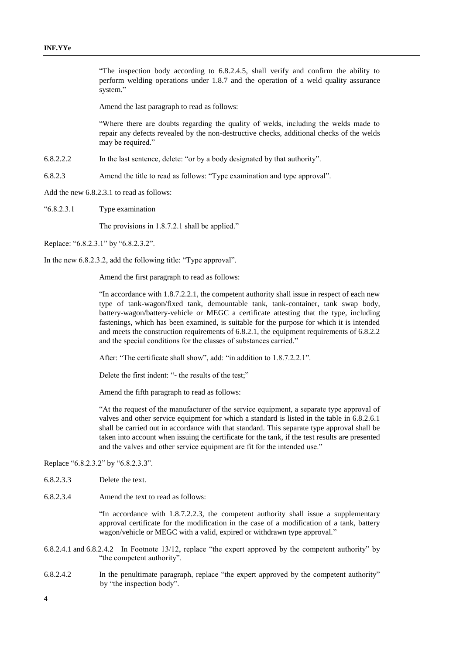"The inspection body according to 6.8.2.4.5, shall verify and confirm the ability to perform welding operations under 1.8.7 and the operation of a weld quality assurance system."

Amend the last paragraph to read as follows:

"Where there are doubts regarding the quality of welds, including the welds made to repair any defects revealed by the non-destructive checks, additional checks of the welds may be required."

6.8.2.2.2 In the last sentence, delete: "or by a body designated by that authority".

6.8.2.3 Amend the title to read as follows: "Type examination and type approval".

Add the new 6.8.2.3.1 to read as follows:

"6.8.2.3.1 Type examination

The provisions in 1.8.7.2.1 shall be applied."

Replace: "6.8.2.3.1" by "6.8.2.3.2".

In the new 6.8.2.3.2, add the following title: "Type approval".

Amend the first paragraph to read as follows:

"In accordance with 1.8.7.2.2.1, the competent authority shall issue in respect of each new type of tank-wagon/fixed tank, demountable tank, tank-container, tank swap body, battery-wagon/battery-vehicle or MEGC a certificate attesting that the type, including fastenings, which has been examined, is suitable for the purpose for which it is intended and meets the construction requirements of 6.8.2.1, the equipment requirements of 6.8.2.2 and the special conditions for the classes of substances carried."

After: "The certificate shall show", add: "in addition to 1.8.7.2.2.1".

Delete the first indent: "- the results of the test;"

Amend the fifth paragraph to read as follows:

"At the request of the manufacturer of the service equipment, a separate type approval of valves and other service equipment for which a standard is listed in the table in 6.8.2.6.1 shall be carried out in accordance with that standard. This separate type approval shall be taken into account when issuing the certificate for the tank, if the test results are presented and the valves and other service equipment are fit for the intended use."

#### Replace "6.8.2.3.2" by "6.8.2.3.3".

- 6.8.2.3.3 Delete the text.
- 6.8.2.3.4 Amend the text to read as follows:

"In accordance with 1.8.7.2.2.3, the competent authority shall issue a supplementary approval certificate for the modification in the case of a modification of a tank, battery wagon/vehicle or MEGC with a valid, expired or withdrawn type approval."

- 6.8.2.4.1 and 6.8.2.4.2 In Footnote 13/12, replace "the expert approved by the competent authority" by "the competent authority".
- 6.8.2.4.2 In the penultimate paragraph, replace "the expert approved by the competent authority" by "the inspection body".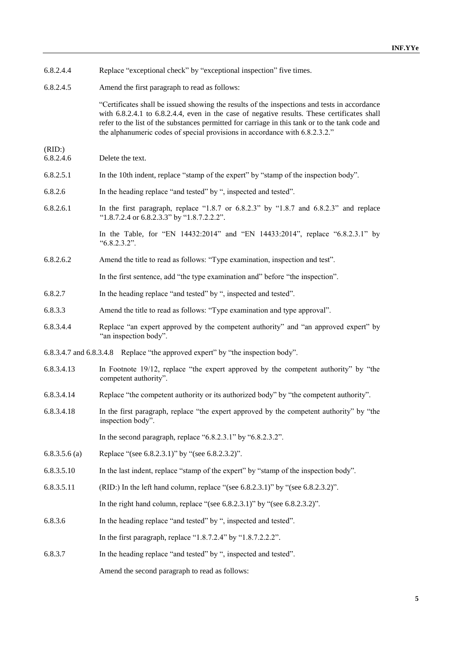| 6.8.2.4.4 |  | Replace "exceptional check" by "exceptional inspection" five times. |  |  |  |  |
|-----------|--|---------------------------------------------------------------------|--|--|--|--|
|-----------|--|---------------------------------------------------------------------|--|--|--|--|

6.8.2.4.5 Amend the first paragraph to read as follows:

"Certificates shall be issued showing the results of the inspections and tests in accordance with 6.8.2.4.1 to 6.8.2.4.4, even in the case of negative results. These certificates shall refer to the list of the substances permitted for carriage in this tank or to the tank code and the alphanumeric codes of special provisions in accordance with 6.8.2.3.2."

- $(RID:)$ <br> $6.8.2.4.6$ Delete the text.
- 6.8.2.5.1 In the 10th indent, replace "stamp of the expert" by "stamp of the inspection body".
- 6.8.2.6 In the heading replace "and tested" by ", inspected and tested".
- 6.8.2.6.1 In the first paragraph, replace "1.8.7 or 6.8.2.3" by "1.8.7 and 6.8.2.3" and replace "1.8.7.2.4 or 6.8.2.3.3" by "1.8.7.2.2.2".

In the Table, for "EN 14432:2014" and "EN 14433:2014", replace "6.8.2.3.1" by "6.8.2.3.2".

6.8.2.6.2 Amend the title to read as follows: "Type examination, inspection and test".

In the first sentence, add "the type examination and" before "the inspection".

- 6.8.2.7 In the heading replace "and tested" by ", inspected and tested".
- 6.8.3.3 Amend the title to read as follows: "Type examination and type approval".
- 6.8.3.4.4 Replace "an expert approved by the competent authority" and "an approved expert" by "an inspection body".
- 6.8.3.4.7 and 6.8.3.4.8 Replace "the approved expert" by "the inspection body".
- 6.8.3.4.13 In Footnote 19/12, replace "the expert approved by the competent authority" by "the competent authority".
- 6.8.3.4.14 Replace "the competent authority or its authorized body" by "the competent authority".
- 6.8.3.4.18 In the first paragraph, replace "the expert approved by the competent authority" by "the inspection body".

In the second paragraph, replace "6.8.2.3.1" by "6.8.2.3.2".

- 6.8.3.5.6 (a) Replace "(see 6.8.2.3.1)" by "(see 6.8.2.3.2)".
- 6.8.3.5.10 In the last indent, replace "stamp of the expert" by "stamp of the inspection body".
- 6.8.3.5.11 (RID:) In the left hand column, replace "(see 6.8.2.3.1)" by "(see 6.8.2.3.2)".

In the right hand column, replace "(see 6.8.2.3.1)" by "(see 6.8.2.3.2)".

6.8.3.6 In the heading replace "and tested" by ", inspected and tested".

In the first paragraph, replace "1.8.7.2.4" by "1.8.7.2.2.2".

6.8.3.7 In the heading replace "and tested" by ", inspected and tested".

Amend the second paragraph to read as follows: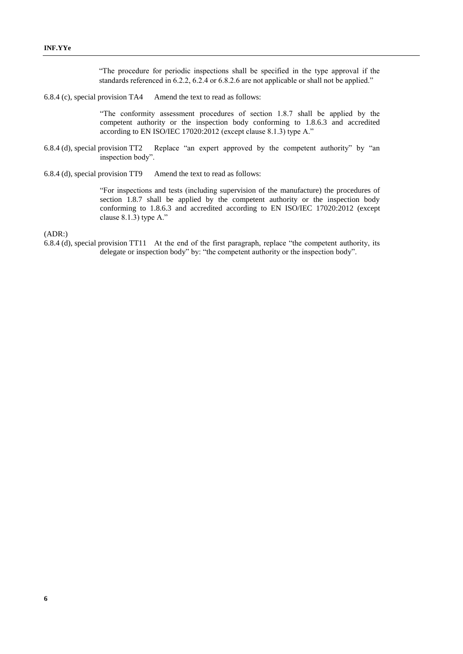"The procedure for periodic inspections shall be specified in the type approval if the standards referenced in 6.2.2, 6.2.4 or 6.8.2.6 are not applicable or shall not be applied."

6.8.4 (c), special provision TA4 Amend the text to read as follows:

"The conformity assessment procedures of section 1.8.7 shall be applied by the competent authority or the inspection body conforming to 1.8.6.3 and accredited according to EN ISO/IEC 17020:2012 (except clause 8.1.3) type A."

- 6.8.4 (d), special provision TT2 Replace "an expert approved by the competent authority" by "an inspection body".
- 6.8.4 (d), special provision TT9 Amend the text to read as follows:

"For inspections and tests (including supervision of the manufacture) the procedures of section 1.8.7 shall be applied by the competent authority or the inspection body conforming to 1.8.6.3 and accredited according to EN ISO/IEC 17020:2012 (except clause 8.1.3) type A."

(ADR:)

6.8.4 (d), special provision TT11 At the end of the first paragraph, replace "the competent authority, its delegate or inspection body" by: "the competent authority or the inspection body".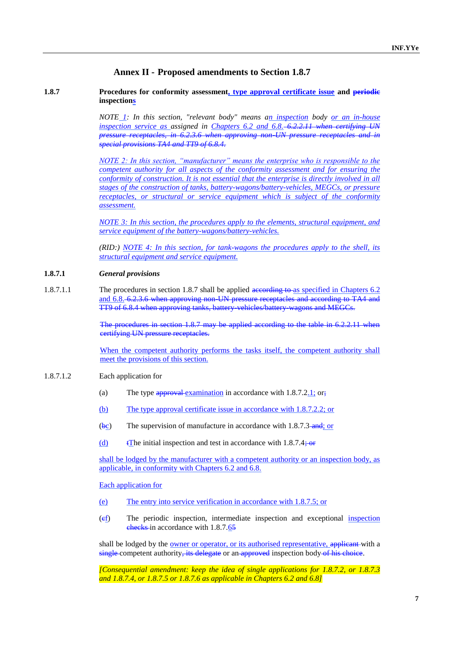## **Annex II - Proposed amendments to Section 1.8.7**

#### **1.8.7 Procedures for conformity assessment, type approval certificate issue and periodic inspections**

*NOTE 1: In this section, "relevant body" means an inspection body or an in-house inspection service as assigned in Chapters 6.2 and 6.8. 6.2.2.11 when certifying UN pressure receptacles, in 6.2.3.6 when approving non-UN pressure receptacles and in special provisions TA4 and TT9 of 6.8.4.*

*NOTE 2: In this section, "manufacturer" means the enterprise who is responsible to the competent authority for all aspects of the conformity assessment and for ensuring the conformity of construction. It is not essential that the enterprise is directly involved in all stages of the construction of tanks, battery-wagons/battery-vehicles, MEGCs, or pressure receptacles, or structural or service equipment which is subject of the conformity assessment.*

*NOTE 3: In this section, the procedures apply to the elements, structural equipment, and service equipment of the battery-wagons/battery-vehicles.*

*(RID:) NOTE 4: In this section, for tank-wagons the procedures apply to the shell, its structural equipment and service equipment.*

#### **1.8.7.1** *General provisions*

1.8.7.1.1 The procedures in section 1.8.7 shall be applied according to as specified in Chapters 6.2 and 6.8. 6.2.3.6 when approving non-UN pressure receptacles and according to TA4 and TT9 of 6.8.4 when approving tanks, battery-vehicles/battery-wagons and MEGCs.

> The procedures in section 1.8.7 may be applied according to the table in 6.2.2.11 when certifying UN pressure receptacles.

> When the competent authority performs the tasks itself, the competent authority shall meet the provisions of this section.

#### 1.8.7.1.2 Each application for

- (a) The type  $\frac{1}{2}$  The type  $\frac{1}{2}$  The type  $\frac{1}{2}$  Communication in accordance with 1.8.7.2.1; or;
- (b) The type approval certificate issue in accordance with 1.8.7.2.2; or
- $(\frac{bc}{c})$  The supervision of manufacture in accordance with 1.8.7.3 and; or
- (d)  $\text{t}$  The initial inspection and test in accordance with 1.8.7.4; or

shall be lodged by the manufacturer with a competent authority or an inspection body, as applicable, in conformity with Chapters 6.2 and 6.8.

Each application for

- (e) The entry into service verification in accordance with 1.8.7.5; or
- (cf) The periodic inspection, intermediate inspection and exceptional inspection checks in accordance with 1.8.7.65

shall be lodged by the <u>owner or operator</u>, or its authorised representative, applicant with a single competent authority, its delegate or an approved inspection body of his choice.

*[Consequential amendment: keep the idea of single applications for 1.8.7.2, or 1.8.7.3 and 1.8.7.4, or 1.8.7.5 or 1.8.7.6 as applicable in Chapters 6.2 and 6.8]*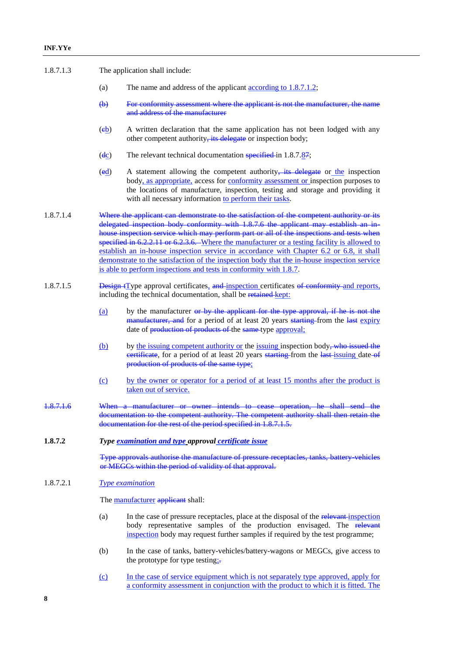| 1.8.7.1.3 | The application shall include: |  |
|-----------|--------------------------------|--|
|-----------|--------------------------------|--|

- (a) The name and address of the applicant according to 1.8.7.1.2;
- (b) For conformity assessment where the applicant is not the manufacturer, the name and address of the manufacturer
- (eb) A written declaration that the same application has not been lodged with any other competent authority, its delegate or inspection body;
- ( $\frac{d_c}{dt}$ ) The relevant technical documentation specified in 1.8.7.87;
- $\text{ (ed)}$  A statement allowing the competent authority, its delegate or the inspection body, as appropriate, access for conformity assessment or inspection purposes to the locations of manufacture, inspection, testing and storage and providing it with all necessary information to perform their tasks.
- 1.8.7.1.4 Where the applicant can demonstrate to the satisfaction of the competent authority or its delegated inspection body conformity with 1.8.7.6 the applicant may establish an inhouse inspection service which may perform part or all of the inspections and tests when specified in 6.2.2.11 or 6.2.3.6. Where the manufacturer or a testing facility is allowed to establish an in-house inspection service in accordance with Chapter 6.2 or 6.8, it shall demonstrate to the satisfaction of the inspection body that the in-house inspection service is able to perform inspections and tests in conformity with 1.8.7.
- 1.8.7.1.5 Design tType approval certificates, and inspection certificates of conformity and reports, including the technical documentation, shall be retained kept:
	- (a) by the manufacturer or by the applicant for the type approval, if he is not the manufacturer, and for a period of at least 20 years starting from the last expiry date of production of products of the same-type approval;
	- (b) by the issuing competent authority or the issuing inspection body, who issued the eertificate, for a period of at least 20 years starting from the last-issuing date-of production of products of the same type;
	- (c) by the owner or operator for a period of at least 15 months after the product is taken out of service.
- 1.8.7.1.6 When a manufacturer or owner intends to cease operation, he shall send the documentation to the competent authority. The competent authority shall then retain the documentation for the rest of the period specified in 1.8.7.1.5.

#### **1.8.7.2** *Type examination and type approval certificate issue*

Type approvals authorise the manufacture of pressure receptacles, tanks, battery-vehicles or MEGCs within the period of validity of that approval.

#### 1.8.7.2.1 *Type examination*

The manufacturer applicant shall:

- (a) In the case of pressure receptacles, place at the disposal of the relevant inspection body representative samples of the production envisaged. The relevant inspection body may request further samples if required by the test programme;
- (b) In the case of tanks, battery-vehicles/battery-wagons or MEGCs, give access to the prototype for type testing;-
- (c) In the case of service equipment which is not separately type approved, apply for a conformity assessment in conjunction with the product to which it is fitted. The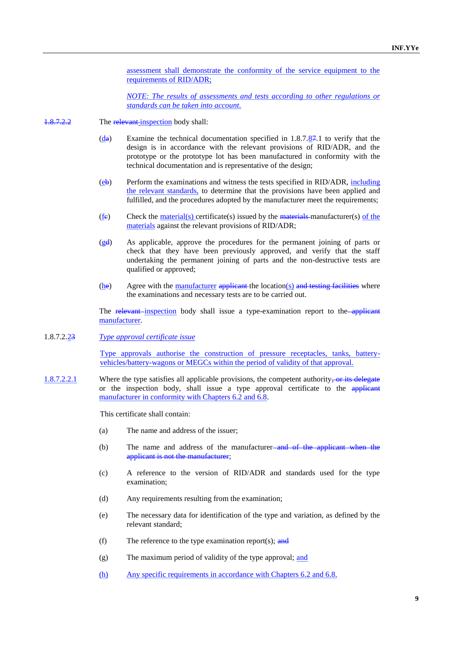assessment shall demonstrate the conformity of the service equipment to the requirements of RID/ADR;

*NOTE: The results of assessments and tests according to other regulations or standards can be taken into account.*

- 1.8.7.2.2 The relevant inspection body shall:
	- $(d_{\mathbf{\hat{a}}})$  Examine the technical documentation specified in 1.8.7.87.1 to verify that the design is in accordance with the relevant provisions of RID/ADR, and the prototype or the prototype lot has been manufactured in conformity with the technical documentation and is representative of the design;
	- $(e^{\phi})$  Perform the examinations and witness the tests specified in RID/ADR, including the relevant standards, to determine that the provisions have been applied and fulfilled, and the procedures adopted by the manufacturer meet the requirements;
	- $(f_e)$  Check the <u>material(s)</u> certificate(s) issued by the materials-manufacturer(s) of the materials against the relevant provisions of RID/ADR;
	- (gd) As applicable, approve the procedures for the permanent joining of parts or check that they have been previously approved, and verify that the staff undertaking the permanent joining of parts and the non-destructive tests are qualified or approved;
	- $(he)$  Agree with the manufacturer applicant the location(s) and testing facilities where the examinations and necessary tests are to be carried out.

The relevant-inspection body shall issue a type-examination report to the applicant manufacturer.

1.8.7.2.23 *Type approval certificate issue*

Type approvals authorise the construction of pressure receptacles, tanks, batteryvehicles/battery-wagons or MEGCs within the period of validity of that approval.

1.8.7.2.2.1 Where the type satisfies all applicable provisions, the competent authority, or its delegate or the inspection body, shall issue a type approval certificate to the applicant manufacturer in conformity with Chapters 6.2 and 6.8.

This certificate shall contain:

- (a) The name and address of the issuer;
- (b) The name and address of the manufacturer—and of the applicant when the applicant is not the manufacturer;
- (c) A reference to the version of RID/ADR and standards used for the type examination;
- (d) Any requirements resulting from the examination;
- (e) The necessary data for identification of the type and variation, as defined by the relevant standard;
- (f) The reference to the type examination report(s);  $\frac{and}{in}$
- (g) The maximum period of validity of the type approval; and
- (h) Any specific requirements in accordance with Chapters 6.2 and 6.8.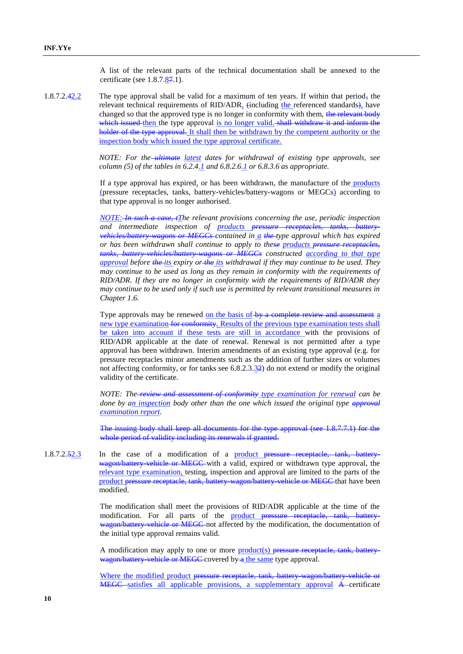A list of the relevant parts of the technical documentation shall be annexed to the certificate (see  $1.8.7.\underline{87.1}$ ).

1.8.7.2.42.2 The type approval shall be valid for a maximum of ten years. If within that period, the relevant technical requirements of  $RID/ADR<sub>a</sub>$  (including the referenced standards), have changed so that the approved type is no longer in conformity with them, the relevant body which issued then the type approval is no longer valid. shall withdraw it and inform the holder of the type approval. It shall then be withdrawn by the competent authority or the inspection body which issued the type approval certificate.

> *NOTE: For the ultimate latest dates for withdrawal of existing type approvals, see column (5) of the tables in 6.2.4.1 and 6.8.2.6.1 or 6.8.3.6 as appropriate.*

> If a type approval has expired, or has been withdrawn, the manufacture of the products (pressure receptacles, tanks, battery-vehicles/battery-wagons or MEGCs) according to that type approval is no longer authorised.

> *NOTE: In such a case, tThe relevant provisions concerning the use, periodic inspection and intermediate inspection of products pressure receptacles, tanks, batteryvehicles/battery-wagons or MEGCs contained in a the type approval which has expired or has been withdrawn shall continue to apply to these products pressure receptacles, tanks, battery-vehicles/battery-wagons or MEGCs constructed according to that type approval before the its expiry or the its withdrawal if they may continue to be used. They may continue to be used as long as they remain in conformity with the requirements of RID/ADR. If they are no longer in conformity with the requirements of RID/ADR they may continue to be used only if such use is permitted by relevant transitional measures in Chapter 1.6.*

> Type approvals may be renewed on the basis of by a complete review and assessment a new type examination for conformity. Results of the previous type examination tests shall be taken into account if these tests are still in accordance with the provisions of RID/ADR applicable at the date of renewal. Renewal is not permitted after a type approval has been withdrawn. Interim amendments of an existing type approval (e.g. for pressure receptacles minor amendments such as the addition of further sizes or volumes not affecting conformity, or for tanks see 6.8.2.3.32) do not extend or modify the original validity of the certificate.

> *NOTE: The review and assessment of conformity type examination for renewal can be done by an inspection body other than the one which issued the original type approval examination report.*

> The issuing body shall keep all documents for the type approval (see 1.8.7.7.1) for the whole period of validity including its renewals if granted.

1.8.7.2.52.3 In the case of a modification of a product pressure receptacle, tank, batterywagon/battery vehicle or MEGC with a valid, expired or withdrawn type approval, the relevant type examination, testing, inspection and approval are limited to the parts of the product pressure receptacle, tank, battery-wagon/battery-vehicle or MEGC that have been modified.

> The modification shall meet the provisions of RID/ADR applicable at the time of the modification. For all parts of the product pressure receptacle, wagon/battery vehicle or MEGC not affected by the modification, the documentation of the initial type approval remains valid.

> A modification may apply to one or more product(s) pressure receptacle, tank, batterywagon/battery-vehicle or MEGC covered by a the same type approval.

> Where the modified product pressure receptacle, tank, battery wagon/battery vehicle or MEGC satisfies all applicable provisions, a supplementary approval A certificate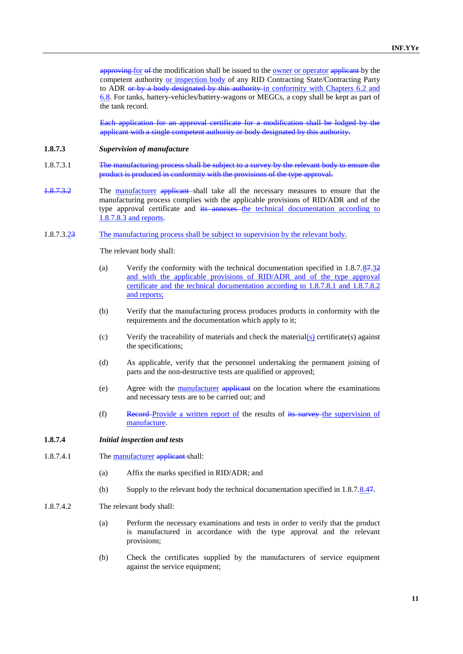approving for of the modification shall be issued to the owner or operator applicant by the competent authority or inspection body of any RID Contracting State/Contracting Party to ADR or by a body designated by this authority in conformity with Chapters 6.2 and 6.8. For tanks, battery-vehicles/battery-wagons or MEGCs, a copy shall be kept as part of the tank record.

Each application for an approval certificate for a modification shall be lodged by the applicant with a single competent authority or body designated by this authority.

- **1.8.7.3** *Supervision of manufacture*
- 1.8.7.3.1 The manufacturing process shall be subject to a survey by the relevant body to ensure the product is produced in conformity with the provisions of the type approval.
- 1.8.7.3.2 The manufacturer applicant shall take all the necessary measures to ensure that the manufacturing process complies with the applicable provisions of RID/ADR and of the type approval certificate and its annexes the technical documentation according to 1.8.7.8.3 and reports.
- 1.8.7.3.23 The manufacturing process shall be subject to supervision by the relevant body.

The relevant body shall:

- (a) Verify the conformity with the technical documentation specified in 1.8.7.87.32 and with the applicable provisions of RID/ADR and of the type approval certificate and the technical documentation according to 1.8.7.8.1 and 1.8.7.8.2 and reports;
- (b) Verify that the manufacturing process produces products in conformity with the requirements and the documentation which apply to it;
- (c) Verify the traceability of materials and check the material $\langle s \rangle$  certificate(s) against the specifications;
- (d) As applicable, verify that the personnel undertaking the permanent joining of parts and the non-destructive tests are qualified or approved;
- (e) Agree with the manufacturer applicant on the location where the examinations and necessary tests are to be carried out; and
- (f) Record Provide a written report of the results of its survey the supervision of manufacture.

## **1.8.7.4** *Initial inspection and tests*

- 1.8.7.4.1 The manufacturer applicant shall:
	- (a) Affix the marks specified in RID/ADR; and
	- (b) Supply to the relevant body the technical documentation specified in 1.8.7.8.47.
- 1.8.7.4.2 The relevant body shall:
	- (a) Perform the necessary examinations and tests in order to verify that the product is manufactured in accordance with the type approval and the relevant provisions;
	- (b) Check the certificates supplied by the manufacturers of service equipment against the service equipment;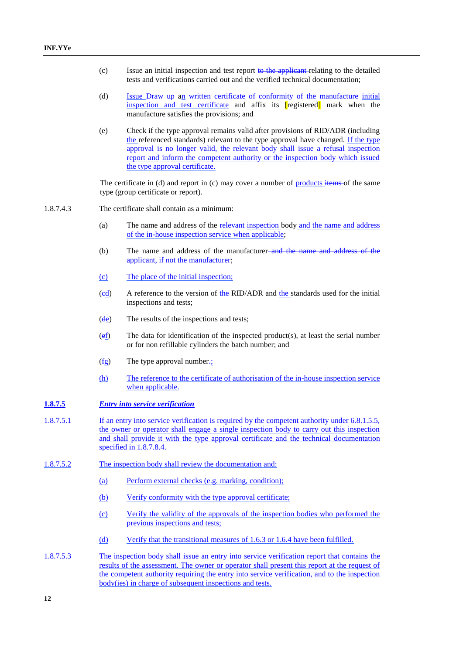- (c) Issue an initial inspection and test report to the applicant relating to the detailed tests and verifications carried out and the verified technical documentation;
- (d) Issue Draw up an written certificate of conformity of the manufacture-initial inspection and test certificate and affix its [registered] mark when the manufacture satisfies the provisions; and
- (e) Check if the type approval remains valid after provisions of RID/ADR (including the referenced standards) relevant to the type approval have changed. If the type approval is no longer valid, the relevant body shall issue a refusal inspection report and inform the competent authority or the inspection body which issued the type approval certificate.

The certificate in (d) and report in (c) may cover a number of products items of the same type (group certificate or report).

- 1.8.7.4.3 The certificate shall contain as a minimum:
	- (a) The name and address of the relevant inspection body and the name and address of the in-house inspection service when applicable;
	- (b) The name and address of the manufacturer and the name and address of the applicant, if not the manufacturer;
	- (c) The place of the initial inspection;
	- (ed) A reference to the version of the RID/ADR and the standards used for the initial inspections and tests;
	- (de) The results of the inspections and tests;
	- (ef) The data for identification of the inspected product(s), at least the serial number or for non refillable cylinders the batch number; and
	- $(f_{\mathbf{g}})$  The type approval number.
	- (h) The reference to the certificate of authorisation of the in-house inspection service when applicable.

## **1.8.7.5** *Entry into service verification*

- 1.8.7.5.1 If an entry into service verification is required by the competent authority under 6.8.1.5.5, the owner or operator shall engage a single inspection body to carry out this inspection and shall provide it with the type approval certificate and the technical documentation specified in 1.8.7.8.4.
- 1.8.7.5.2 The inspection body shall review the documentation and:
	- (a) Perform external checks (e.g. marking, condition);
	- (b) Verify conformity with the type approval certificate;
	- (c) Verify the validity of the approvals of the inspection bodies who performed the previous inspections and tests;
	- (d) Verify that the transitional measures of 1.6.3 or 1.6.4 have been fulfilled.
- 1.8.7.5.3 The inspection body shall issue an entry into service verification report that contains the results of the assessment. The owner or operator shall present this report at the request of the competent authority requiring the entry into service verification, and to the inspection body(ies) in charge of subsequent inspections and tests.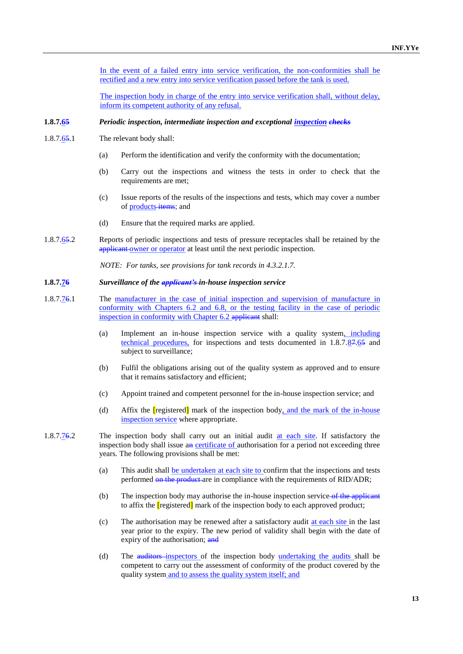In the event of a failed entry into service verification, the non-conformities shall be rectified and a new entry into service verification passed before the tank is used.

The inspection body in charge of the entry into service verification shall, without delay, inform its competent authority of any refusal.

#### **1.8.7.65** *Periodic inspection, intermediate inspection and exceptional inspection checks*

- 1.8.7.65.1 The relevant body shall:
	- (a) Perform the identification and verify the conformity with the documentation;
	- (b) Carry out the inspections and witness the tests in order to check that the requirements are met;
	- (c) Issue reports of the results of the inspections and tests, which may cover a number of **products**-items; and
	- (d) Ensure that the required marks are applied.
- 1.8.7.65.2 Reports of periodic inspections and tests of pressure receptacles shall be retained by the applicant owner or operator at least until the next periodic inspection.

*NOTE: For tanks, see provisions for tank records in 4.3.2.1.7.*

#### **1.8.7.76** *Surveillance of the applicant's in-house inspection service*

- 1.8.7.76.1 The manufacturer in the case of initial inspection and supervision of manufacture in conformity with Chapters 6.2 and 6.8, or the testing facility in the case of periodic inspection in conformity with Chapter 6.2 applicant shall:
	- (a) Implement an in-house inspection service with a quality system, including technical procedures, for inspections and tests documented in 1.8.7.87.65 and subject to surveillance;
	- (b) Fulfil the obligations arising out of the quality system as approved and to ensure that it remains satisfactory and efficient;
	- (c) Appoint trained and competent personnel for the in-house inspection service; and
	- (d) Affix the  $[registered]$  mark of the inspection body, and the mark of the in-house inspection service where appropriate.
- 1.8.7.76.2 The inspection body shall carry out an initial audit at each site. If satisfactory the inspection body shall issue an certificate of authorisation for a period not exceeding three years. The following provisions shall be met:
	- (a) This audit shall be undertaken at each site to confirm that the inspections and tests performed on the product are in compliance with the requirements of RID/ADR;
	- (b) The inspection body may authorise the in-house inspection service of the applicant to affix the [registered] mark of the inspection body to each approved product;
	- (c) The authorisation may be renewed after a satisfactory audit at each site in the last year prior to the expiry. The new period of validity shall begin with the date of expiry of the authorisation; and
	- (d) The auditors-inspectors of the inspection body undertaking the audits shall be competent to carry out the assessment of conformity of the product covered by the quality system and to assess the quality system itself; and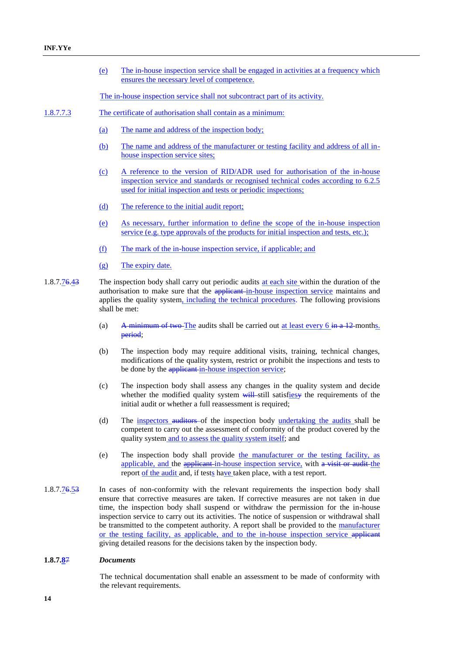- (e) The in-house inspection service shall be engaged in activities at a frequency which ensures the necessary level of competence.
- The in-house inspection service shall not subcontract part of its activity.
- 1.8.7.7.3 The certificate of authorisation shall contain as a minimum:
	- (a) The name and address of the inspection body;
	- (b) The name and address of the manufacturer or testing facility and address of all inhouse inspection service sites;
	- (c) A reference to the version of RID/ADR used for authorisation of the in-house inspection service and standards or recognised technical codes according to 6.2.5 used for initial inspection and tests or periodic inspections;
	- (d) The reference to the initial audit report;
	- (e) As necessary, further information to define the scope of the in-house inspection service (e.g. type approvals of the products for initial inspection and tests, etc.);
	- (f) The mark of the in-house inspection service, if applicable; and
	- (g) The expiry date.
- 1.8.7.76.43 The inspection body shall carry out periodic audits at each site within the duration of the authorisation to make sure that the *applicant*-in-house inspection service maintains and applies the quality system, including the technical procedures. The following provisions shall be met:
	- (a) A minimum of two The audits shall be carried out at least every  $6 \text{ in a } 12$  months. period;
	- (b) The inspection body may require additional visits, training, technical changes, modifications of the quality system, restrict or prohibit the inspections and tests to be done by the applicant in-house inspection service;
	- (c) The inspection body shall assess any changes in the quality system and decide whether the modified quality system  $\frac{1}{w+1}$ -still satisfies the requirements of the initial audit or whether a full reassessment is required;
	- (d) The inspectors auditors of the inspection body undertaking the audits shall be competent to carry out the assessment of conformity of the product covered by the quality system and to assess the quality system itself; and
	- (e) The inspection body shall provide the manufacturer or the testing facility, as applicable, and the applicant in-house inspection service, with a visit or audit the report of the audit and, if tests have taken place, with a test report.
- 1.8.7.76.53 In cases of non-conformity with the relevant requirements the inspection body shall ensure that corrective measures are taken. If corrective measures are not taken in due time, the inspection body shall suspend or withdraw the permission for the in-house inspection service to carry out its activities. The notice of suspension or withdrawal shall be transmitted to the competent authority. A report shall be provided to the manufacturer or the testing facility, as applicable, and to the in-house inspection service applicant giving detailed reasons for the decisions taken by the inspection body.

#### **1.8.7.8**7 *Documents*

The technical documentation shall enable an assessment to be made of conformity with the relevant requirements.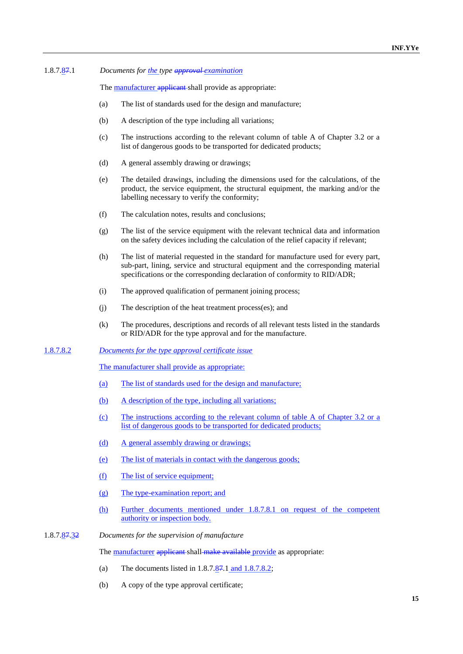#### 1.8.7.87.1 *Documents for the type approval examination*

The **manufacturer applicant** shall provide as appropriate:

- (a) The list of standards used for the design and manufacture;
- (b) A description of the type including all variations;
- (c) The instructions according to the relevant column of table A of Chapter 3.2 or a list of dangerous goods to be transported for dedicated products;
- (d) A general assembly drawing or drawings;
- (e) The detailed drawings, including the dimensions used for the calculations, of the product, the service equipment, the structural equipment, the marking and/or the labelling necessary to verify the conformity;
- (f) The calculation notes, results and conclusions;
- (g) The list of the service equipment with the relevant technical data and information on the safety devices including the calculation of the relief capacity if relevant;
- (h) The list of material requested in the standard for manufacture used for every part, sub-part, lining, service and structural equipment and the corresponding material specifications or the corresponding declaration of conformity to RID/ADR;
- (i) The approved qualification of permanent joining process;
- (j) The description of the heat treatment process(es); and
- (k) The procedures, descriptions and records of all relevant tests listed in the standards or RID/ADR for the type approval and for the manufacture.

#### 1.8.7.8.2 *Documents for the type approval certificate issue*

The manufacturer shall provide as appropriate:

- (a) The list of standards used for the design and manufacture;
- (b) A description of the type, including all variations;
- (c) The instructions according to the relevant column of table A of Chapter 3.2 or a list of dangerous goods to be transported for dedicated products;
- (d) A general assembly drawing or drawings;
- (e) The list of materials in contact with the dangerous goods;
- (f) The list of service equipment;
- (g) The type-examination report; and
- (h) Further documents mentioned under 1.8.7.8.1 on request of the competent authority or inspection body.
- 1.8.7.87.32 *Documents for the supervision of manufacture*

The manufacturer applicant shall make available provide as appropriate:

- (a) The documents listed in  $1.8.7.87.1$  and  $1.8.7.8.2$ ;
- (b) A copy of the type approval certificate;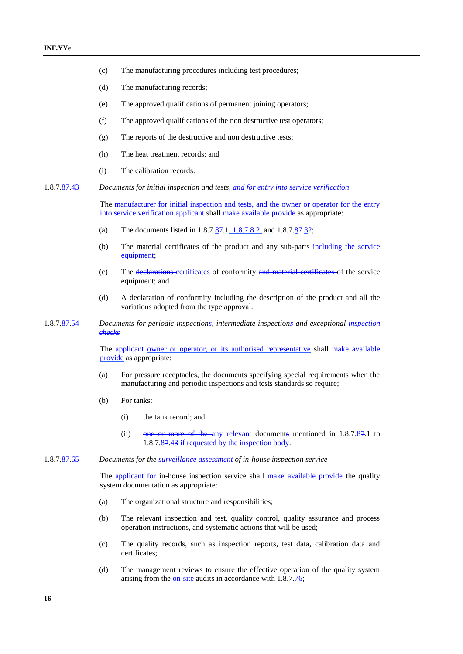- (c) The manufacturing procedures including test procedures;
- (d) The manufacturing records;
- (e) The approved qualifications of permanent joining operators;
- (f) The approved qualifications of the non destructive test operators;
- (g) The reports of the destructive and non destructive tests;
- (h) The heat treatment records; and
- (i) The calibration records.
- 1.8.7.87.43 *Documents for initial inspection and tests, and for entry into service verification*

The manufacturer for initial inspection and tests, and the owner or operator for the entry into service verification applicant shall make available provide as appropriate:

- (a) The documents listed in  $1.8.7.\overline{87.1}, 1.8.7.\overline{8.2},$  and  $1.8.7.\overline{87.32};$
- (b) The material certificates of the product and any sub-parts including the service equipment;
- (c) The declarations certificates of conformity and material certificates of the service equipment; and
- (d) A declaration of conformity including the description of the product and all the variations adopted from the type approval.
- 1.8.7.87.54 *Documents for periodic inspections, intermediate inspections and exceptional inspection checks*

The applicant owner or operator, or its authorised representative shall make available provide as appropriate:

- (a) For pressure receptacles, the documents specifying special requirements when the manufacturing and periodic inspections and tests standards so require;
- (b) For tanks:
	- (i) the tank record; and
	- (ii) one or more of the any relevant documents mentioned in 1.8.7.87.1 to 1.8.7.87.43 if requested by the inspection body.
- 1.8.7.87.65 *Documents for the surveillance assessment of in-house inspection service*

The applicant for in-house inspection service shall-make available provide the quality system documentation as appropriate:

- (a) The organizational structure and responsibilities;
- (b) The relevant inspection and test, quality control, quality assurance and process operation instructions, and systematic actions that will be used;
- (c) The quality records, such as inspection reports, test data, calibration data and certificates;
- (d) The management reviews to ensure the effective operation of the quality system arising from the <u>on-site</u> audits in accordance with 1.8.7.76;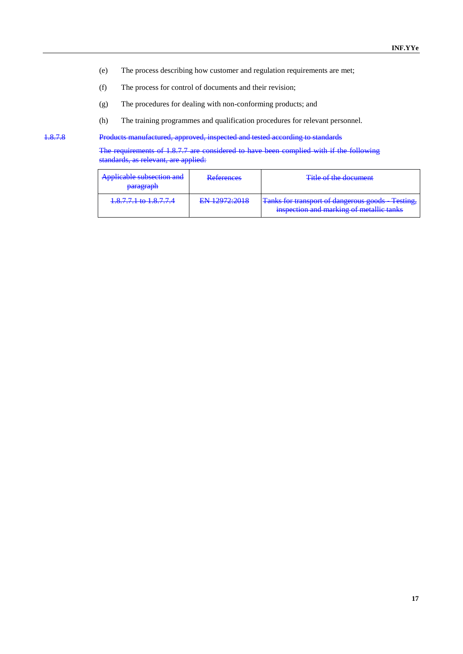- (e) The process describing how customer and regulation requirements are met;
- (f) The process for control of documents and their revision;
- (g) The procedures for dealing with non-conforming products; and
- (h) The training programmes and qualification procedures for relevant personnel.

1.8.7.8 Products manufactured, approved, inspected and tested according to standards

The requirements of 1.8.7.7 are considered to have been complied with if the following standards, as relevant, are applied:

| Applicable subsection and<br><del>paragraph</del> | Daforances<br><del>reiciences</del> | Title of the document                           |
|---------------------------------------------------|-------------------------------------|-------------------------------------------------|
| $18771$ to $18774$                                | EN 12072.2018                       | Tanks for transport of dangerous goods Testing, |
| 1.0.7.7.1 W 1.0.7.7.1                             | <b>DIY 14714.4010</b>               | inspection and marking of metallic tanks        |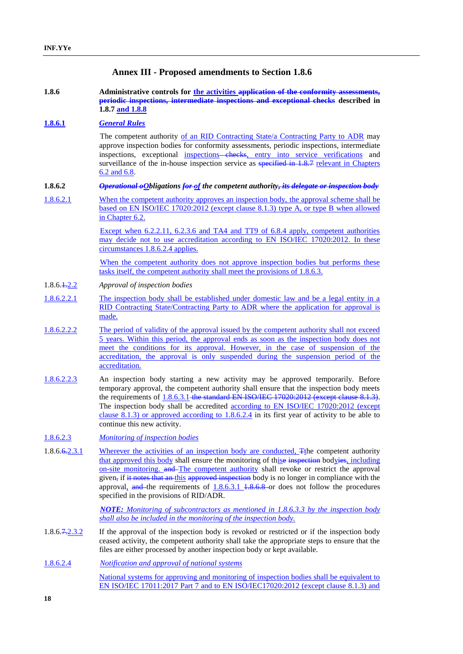## **Annex III - Proposed amendments to Section 1.8.6**

**1.8.6 Administrative controls for the activities application of the conformity assessments, periodic inspections, intermediate inspections and exceptional checks described in 1.8.7 and 1.8.8**

#### **1.8.6.1** *General Rules*

The competent authority of an RID Contracting State/a Contracting Party to ADR may approve inspection bodies for conformity assessments, periodic inspections, intermediate inspections, exceptional inspections—checks, entry into service verifications and surveillance of the in-house inspection service as <del>specified in 1.8.7 relevant</del> in Chapters 6.2 and 6.8.

#### **1.8.6.2** *Operational oObligations for of the competent authority, its delegate or inspection body*

1.8.6.2.1 When the competent authority approves an inspection body, the approval scheme shall be based on EN ISO/IEC 17020:2012 (except clause 8.1.3) type A, or type B when allowed in Chapter 6.2.

> Except when 6.2.2.11, 6.2.3.6 and TA4 and TT9 of 6.8.4 apply, competent authorities may decide not to use accreditation according to EN ISO/IEC 17020:2012. In these circumstances 1.8.6.2.4 applies.

> When the competent authority does not approve inspection bodies but performs these tasks itself, the competent authority shall meet the provisions of 1.8.6.3.

- 1.8.6.1.2.2 *Approval of inspection bodies*
- 1.8.6.2.2.1 The inspection body shall be established under domestic law and be a legal entity in a RID Contracting State/Contracting Party to ADR where the application for approval is made.
- 1.8.6.2.2.2 The period of validity of the approval issued by the competent authority shall not exceed 5 years. Within this period, the approval ends as soon as the inspection body does not meet the conditions for its approval. However, in the case of suspension of the accreditation, the approval is only suspended during the suspension period of the accreditation.
- 1.8.6.2.2.3 An inspection body starting a new activity may be approved temporarily. Before temporary approval, the competent authority shall ensure that the inspection body meets the requirements of  $1.8.6.3.1$ -the standard EN ISO/IEC 17020:2012 (except clause 8.1.3). The inspection body shall be accredited according to EN ISO/IEC 17020:2012 (except clause 8.1.3) or approved according to 1.8.6.2.4 in its first year of activity to be able to continue this new activity.
- 1.8.6.2.3 *Monitoring of inspection bodies*
- 1.8.6.6.2.3.1 Wherever the activities of an inspection body are conducted,  $\pi$ the competent authority that approved this body shall ensure the monitoring of thise inspection bodyies, including on-site monitoring. and The competent authority shall revoke or restrict the approval given, if it notes that an this approved inspection body is no longer in compliance with the approval, and the requirements of  $1.8.6.3.1$   $1.8.6.8$  or does not follow the procedures specified in the provisions of RID/ADR.

*NOTE: Monitoring of subcontractors as mentioned in 1.8.6.3.3 by the inspection body shall also be included in the monitoring of the inspection body.*

1.8.6.7.2.3.2 If the approval of the inspection body is revoked or restricted or if the inspection body ceased activity, the competent authority shall take the appropriate steps to ensure that the files are either processed by another inspection body or kept available.

```
1.8.6.2.4 Notification and approval of national systems
    National systems for approving and monitoring of inspection bodies shall be equivalent to 
    EN ISO/IEC 17011:2017 Part 7 and to EN ISO/IEC17020:2012 (except clause 8.1.3) and
```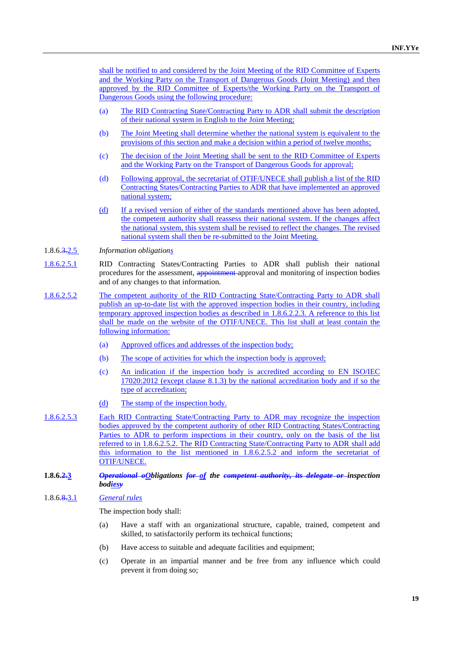shall be notified to and considered by the Joint Meeting of the RID Committee of Experts and the Working Party on the Transport of Dangerous Goods (Joint Meeting) and then approved by the RID Committee of Experts/the Working Party on the Transport of Dangerous Goods using the following procedure:

- (a) The RID Contracting State/Contracting Party to ADR shall submit the description of their national system in English to the Joint Meeting;
- (b) The Joint Meeting shall determine whether the national system is equivalent to the provisions of this section and make a decision within a period of twelve months;
- (c) The decision of the Joint Meeting shall be sent to the RID Committee of Experts and the Working Party on the Transport of Dangerous Goods for approval;
- (d) Following approval, the secretariat of OTIF/UNECE shall publish a list of the RID Contracting States/Contracting Parties to ADR that have implemented an approved national system;
- (d) If a revised version of either of the standards mentioned above has been adopted, the competent authority shall reassess their national system. If the changes affect the national system, this system shall be revised to reflect the changes. The revised national system shall then be re-submitted to the Joint Meeting.
- 1.8.6.3.2.5 *Information obligations*
- 1.8.6.2.5.1 RID Contracting States/Contracting Parties to ADR shall publish their national procedures for the assessment, appointment approval and monitoring of inspection bodies and of any changes to that information.
- 1.8.6.2.5.2 The competent authority of the RID Contracting State/Contracting Party to ADR shall publish an up-to-date list with the approved inspection bodies in their country, including temporary approved inspection bodies as described in 1.8.6.2.2.3. A reference to this list shall be made on the website of the OTIF/UNECE. This list shall at least contain the following information:
	- (a) Approved offices and addresses of the inspection body;
	- (b) The scope of activities for which the inspection body is approved;
	- (c) An indication if the inspection body is accredited according to EN ISO/IEC 17020:2012 (except clause 8.1.3) by the national accreditation body and if so the type of accreditation;
	- (d) The stamp of the inspection body.
- 1.8.6.2.5.3 Each RID Contracting State/Contracting Party to ADR may recognize the inspection bodies approved by the competent authority of other RID Contracting States/Contracting Parties to ADR to perform inspections in their country, only on the basis of the list referred to in 1.8.6.2.5.2. The RID Contracting State/Contracting Party to ADR shall add this information to the list mentioned in 1.8.6.2.5.2 and inform the secretariat of OTIF/UNECE.

#### **1.8.6.2.3** *Operational oObligations for of the competent authority, its delegate or inspection bodiesy*

## 1.8.6.8.3.1 *General rules*

The inspection body shall:

- (a) Have a staff with an organizational structure, capable, trained, competent and skilled, to satisfactorily perform its technical functions;
- (b) Have access to suitable and adequate facilities and equipment;
- (c) Operate in an impartial manner and be free from any influence which could prevent it from doing so;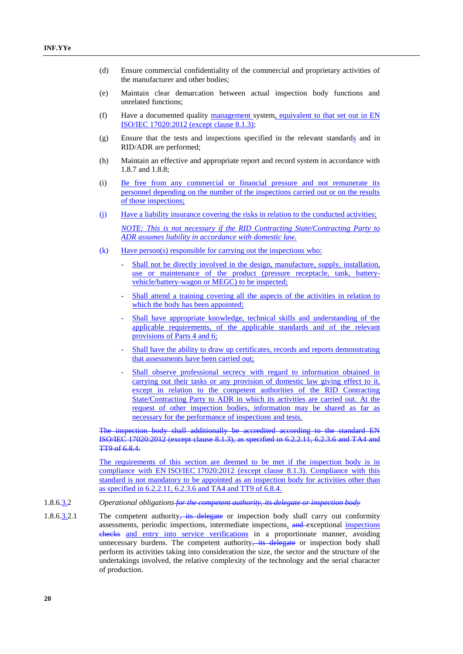- (d) Ensure commercial confidentiality of the commercial and proprietary activities of the manufacturer and other bodies;
- (e) Maintain clear demarcation between actual inspection body functions and unrelated functions;
- (f) Have a documented quality management system, equivalent to that set out in EN ISO/IEC 17020:2012 (except clause 8.1.3);
- (g) Ensure that the tests and inspections specified in the relevant standards and in RID/ADR are performed;
- (h) Maintain an effective and appropriate report and record system in accordance with 1.8.7 and 1.8.8;
- (i) Be free from any commercial or financial pressure and not remunerate its personnel depending on the number of the inspections carried out or on the results of those inspections;
- (j) Have a liability insurance covering the risks in relation to the conducted activities; *NOTE: This is not necessary if the RID Contracting State/Contracting Party to ADR assumes liability in accordance with domestic law.*
- (k) Have person(s) responsible for carrying out the inspections who:
	- Shall not be directly involved in the design, manufacture, supply, installation, use or maintenance of the product (pressure receptacle, tank, batteryvehicle/battery-wagon or MEGC) to be inspected;
	- Shall attend a training covering all the aspects of the activities in relation to which the body has been appointed;
	- Shall have appropriate knowledge, technical skills and understanding of the applicable requirements, of the applicable standards and of the relevant provisions of Parts 4 and 6;
	- Shall have the ability to draw up certificates, records and reports demonstrating that assessments have been carried out;
	- Shall observe professional secrecy with regard to information obtained in carrying out their tasks or any provision of domestic law giving effect to it, except in relation to the competent authorities of the RID Contracting State/Contracting Party to ADR in which its activities are carried out. At the request of other inspection bodies, information may be shared as far as necessary for the performance of inspections and tests.

The inspection body shall additionally be accredited according to the standard EN ISO/IEC 17020:2012 (except clause 8.1.3), as specified in 6.2.2.11, 6.2.3.6 and TA4 and TT9 of 6.8.4.

The requirements of this section are deemed to be met if the inspection body is in compliance with EN ISO/IEC 17020:2012 (except clause 8.1.3). Compliance with this standard is not mandatory to be appointed as an inspection body for activities other than as specified in 6.2.2.11, 6.2.3.6 and TA4 and TT9 of 6.8.4.

1.8.6.3.2 *Operational obligations for the competent authority, its delegate or inspection body*

1.8.6.3.2.1 The competent authority, its delegate or inspection body shall carry out conformity assessments, periodic inspections, intermediate inspections, and exceptional inspections checks and entry into service verifications in a proportionate manner, avoiding unnecessary burdens. The competent authority, its delegate or inspection body shall perform its activities taking into consideration the size, the sector and the structure of the undertakings involved, the relative complexity of the technology and the serial character of production.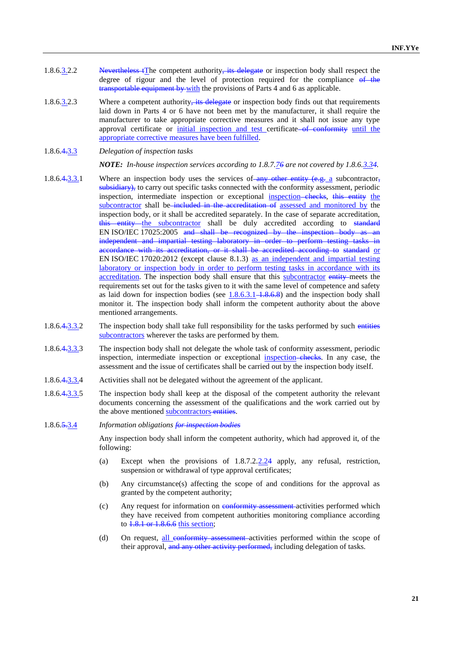- 1.8.6.3.2.2 Nevertheless tThe competent authority, its delegate or inspection body shall respect the degree of rigour and the level of protection required for the compliance of the transportable equipment by with the provisions of Parts 4 and 6 as applicable.
- 1.8.6.3.2.3 Where a competent authority, its delegate or inspection body finds out that requirements laid down in Parts 4 or 6 have not been met by the manufacturer, it shall require the manufacturer to take appropriate corrective measures and it shall not issue any type approval certificate or initial inspection and test certificate of conformity until the appropriate corrective measures have been fulfilled.
- 1.8.6.4.3.3 *Delegation of inspection tasks*

*NOTE: In-house inspection services according to 1.8.7.76 are not covered by 1.8.6.3.34.*

- 1.8.6.4.3.3.1 Where an inspection body uses the services of any other entity (e.g. a subcontractor, subsidiary), to carry out specific tasks connected with the conformity assessment, periodic inspection, intermediate inspection or exceptional inspection-ehecks, this entity the subcontractor shall be included in the accreditation of assessed and monitored by the inspection body, or it shall be accredited separately. In the case of separate accreditation, this entity the subcontractor shall be duly accredited according to standard EN ISO/IEC 17025:2005 and shall be recognized by the inspection body as an independent and impartial testing laboratory in order to perform testing tasks accordance with its accreditation, or it shall be accredited according to standard or EN ISO/IEC 17020:2012 (except clause 8.1.3) as an independent and impartial testing laboratory or inspection body in order to perform testing tasks in accordance with its accreditation. The inspection body shall ensure that this subcontractor entity meets the requirements set out for the tasks given to it with the same level of competence and safety as laid down for inspection bodies (see  $1.8.6.3.1 - 1.8.6.8$ ) and the inspection body shall monitor it. The inspection body shall inform the competent authority about the above mentioned arrangements.
- 1.8.6.4.3.3.2 The inspection body shall take full responsibility for the tasks performed by such entities subcontractors wherever the tasks are performed by them.
- 1.8.6.4.3.3.3 The inspection body shall not delegate the whole task of conformity assessment, periodic inspection, intermediate inspection or exceptional inspection–checks. In any case, the assessment and the issue of certificates shall be carried out by the inspection body itself.
- 1.8.6.4.3.3.4 Activities shall not be delegated without the agreement of the applicant.
- 1.8.6.4.3.3.5 The inspection body shall keep at the disposal of the competent authority the relevant documents concerning the assessment of the qualifications and the work carried out by the above mentioned subcontractors entities.
- 1.8.6.5.3.4 *Information obligations for inspection bodies*

Any inspection body shall inform the competent authority, which had approved it, of the following:

- (a) Except when the provisions of 1.8.7.2.2.24 apply, any refusal, restriction, suspension or withdrawal of type approval certificates;
- (b) Any circumstance(s) affecting the scope of and conditions for the approval as granted by the competent authority;
- (c) Any request for information on conformity assessment activities performed which they have received from competent authorities monitoring compliance according to 1.8.1 or 1.8.6.6 this section;
- (d) On request, all conformity assessment activities performed within the scope of their approval, and any other activity performed, including delegation of tasks.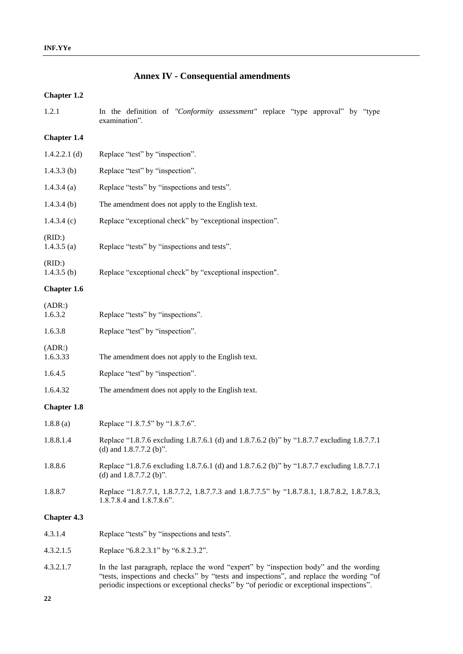# **Annex IV - Consequential amendments**

## **Chapter 1.2**

| 1.2.1                   | In the definition of "Conformity assessment" replace "type approval" by "type<br>examination".                                                                                                                                                                               |
|-------------------------|------------------------------------------------------------------------------------------------------------------------------------------------------------------------------------------------------------------------------------------------------------------------------|
| <b>Chapter 1.4</b>      |                                                                                                                                                                                                                                                                              |
| $1.4.2.2.1$ (d)         | Replace "test" by "inspection".                                                                                                                                                                                                                                              |
| $1.4.3.3$ (b)           | Replace "test" by "inspection".                                                                                                                                                                                                                                              |
| 1.4.3.4(a)              | Replace "tests" by "inspections and tests".                                                                                                                                                                                                                                  |
| $1.4.3.4$ (b)           | The amendment does not apply to the English text.                                                                                                                                                                                                                            |
| 1.4.3.4(c)              | Replace "exceptional check" by "exceptional inspection".                                                                                                                                                                                                                     |
| (RID:)<br>$1.4.3.5$ (a) | Replace "tests" by "inspections and tests".                                                                                                                                                                                                                                  |
| (RID:)<br>$1.4.3.5$ (b) | Replace "exceptional check" by "exceptional inspection".                                                                                                                                                                                                                     |
| Chapter 1.6             |                                                                                                                                                                                                                                                                              |
| (ADR.)<br>1.6.3.2       | Replace "tests" by "inspections".                                                                                                                                                                                                                                            |
| 1.6.3.8                 | Replace "test" by "inspection".                                                                                                                                                                                                                                              |
| (ADR.)<br>1.6.3.33      | The amendment does not apply to the English text.                                                                                                                                                                                                                            |
| 1.6.4.5                 | Replace "test" by "inspection".                                                                                                                                                                                                                                              |
| 1.6.4.32                | The amendment does not apply to the English text.                                                                                                                                                                                                                            |
| <b>Chapter 1.8</b>      |                                                                                                                                                                                                                                                                              |
| 1.8.8(a)                | Replace "1.8.7.5" by "1.8.7.6".                                                                                                                                                                                                                                              |
| 1.8.8.1.4               | Replace "1.8.7.6 excluding 1.8.7.6.1 (d) and 1.8.7.6.2 (b)" by "1.8.7.7 excluding 1.8.7.7.1<br>(d) and $1.8.7.7.2$ (b)".                                                                                                                                                     |
| 1.8.8.6                 | Replace "1.8.7.6 excluding 1.8.7.6.1 (d) and 1.8.7.6.2 (b)" by "1.8.7.7 excluding 1.8.7.7.1<br>(d) and $1.8.7.7.2$ (b)".                                                                                                                                                     |
| 1.8.8.7                 | Replace "1.8.7.7.1, 1.8.7.7.2, 1.8.7.7.3 and 1.8.7.7.5" by "1.8.7.8.1, 1.8.7.8.2, 1.8.7.8.3,<br>1.8.7.8.4 and 1.8.7.8.6".                                                                                                                                                    |
| <b>Chapter 4.3</b>      |                                                                                                                                                                                                                                                                              |
| 4.3.1.4                 | Replace "tests" by "inspections and tests".                                                                                                                                                                                                                                  |
| 4.3.2.1.5               | Replace "6.8.2.3.1" by "6.8.2.3.2".                                                                                                                                                                                                                                          |
| 4.3.2.1.7               | In the last paragraph, replace the word "expert" by "inspection body" and the wording<br>"tests, inspections and checks" by "tests and inspections", and replace the wording "of<br>periodic inspections or exceptional checks" by "of periodic or exceptional inspections". |

**22**